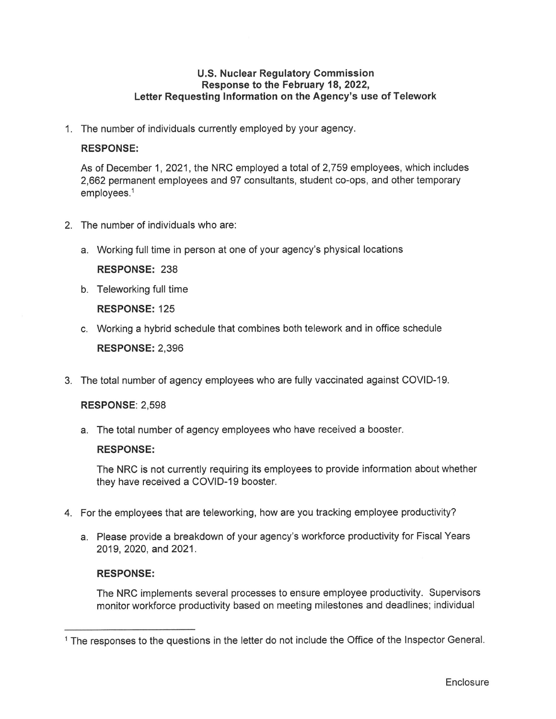## **U.S. Nuclear Regulatory Commission Response to the February 18, 2022, Letter Requesting Information on the Agency's use of Telework**

1. The number of individuals currently employed by your agency.

### **RESPONSE:**

As of December 1, 2021 , the NRC employed a total of 2,759 employees, which includes 2,662 permanent employees and 97 consultants, student co-ops, and other temporary employees. 1

- 2. The number of individuals who are:
	- a. Working full time in person at one of your agency's physical locations

**RESPONSE:** 238

b. Teleworking full time

**RESPONSE:** 125

c. Working a hybrid schedule that combines both telework and in office schedule

**RESPONSE:** 2,396

3. The total number of agency employees who are fully vaccinated against COVID-19.

# **RESPONSE:** 2,598

a. The total number of agency employees who have received a booster.

#### **RESPONSE:**

The NRC is not currently requiring its employees to provide information about whether they have received a COVID-19 booster.

- 4. For the employees that are teleworking, how are you tracking employee productivity?
	- a. Please provide a breakdown of your agency's workforce productivity for Fiscal Years 2019, 2020, and 2021.

#### **RESPONSE:**

The NRC implements several processes to ensure employee productivity. Supervisors monitor workforce productivity based on meeting milestones and deadlines; individual

<sup>&</sup>lt;sup>1</sup> The responses to the questions in the letter do not include the Office of the Inspector General.